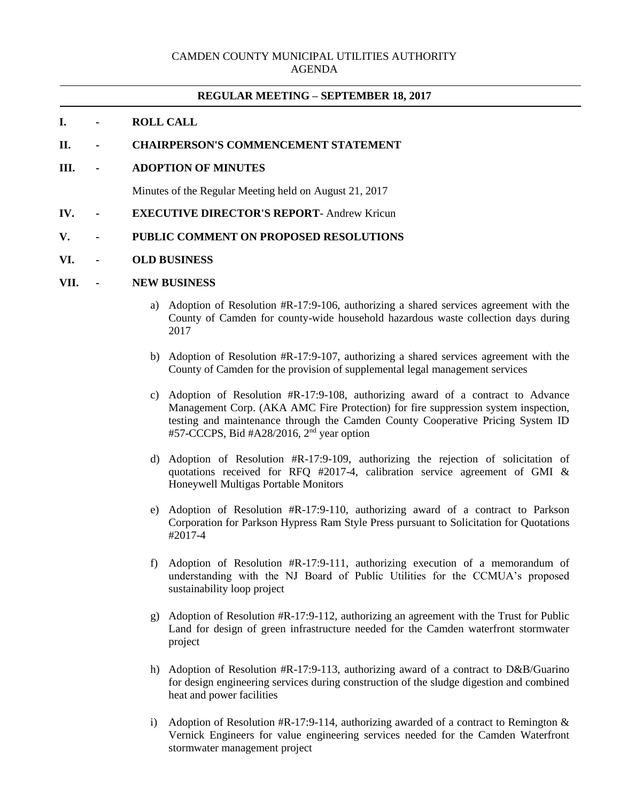## **REGULAR MEETING – SEPTEMBER 18, 2017**

# **I. - ROLL CALL**

## **II. - CHAIRPERSON'S COMMENCEMENT STATEMENT**

**III. - ADOPTION OF MINUTES**

Minutes of the Regular Meeting held on August 21, 2017

**IV. - EXECUTIVE DIRECTOR'S REPORT**- Andrew Kricun

## **V. - PUBLIC COMMENT ON PROPOSED RESOLUTIONS**

#### **VI. - OLD BUSINESS**

### **VII. - NEW BUSINESS**

- a) Adoption of Resolution #R-17:9-106, authorizing a shared services agreement with the County of Camden for county-wide household hazardous waste collection days during 2017
- b) Adoption of Resolution #R-17:9-107, authorizing a shared services agreement with the County of Camden for the provision of supplemental legal management services
- c) Adoption of Resolution #R-17:9-108, authorizing award of a contract to Advance Management Corp. (AKA AMC Fire Protection) for fire suppression system inspection, testing and maintenance through the Camden County Cooperative Pricing System ID #57-CCCPS, Bid #A28/2016, 2nd year option
- d) Adoption of Resolution #R-17:9-109, authorizing the rejection of solicitation of quotations received for RFQ #2017-4, calibration service agreement of GMI & Honeywell Multigas Portable Monitors
- e) Adoption of Resolution #R-17:9-110, authorizing award of a contract to Parkson Corporation for Parkson Hypress Ram Style Press pursuant to Solicitation for Quotations #2017-4
- f) Adoption of Resolution #R-17:9-111, authorizing execution of a memorandum of understanding with the NJ Board of Public Utilities for the CCMUA's proposed sustainability loop project
- g) Adoption of Resolution #R-17:9-112, authorizing an agreement with the Trust for Public Land for design of green infrastructure needed for the Camden waterfront stormwater project
- h) Adoption of Resolution #R-17:9-113, authorizing award of a contract to D&B/Guarino for design engineering services during construction of the sludge digestion and combined heat and power facilities
- i) Adoption of Resolution  $#R-17:9-114$ , authorizing awarded of a contract to Remington & Vernick Engineers for value engineering services needed for the Camden Waterfront stormwater management project